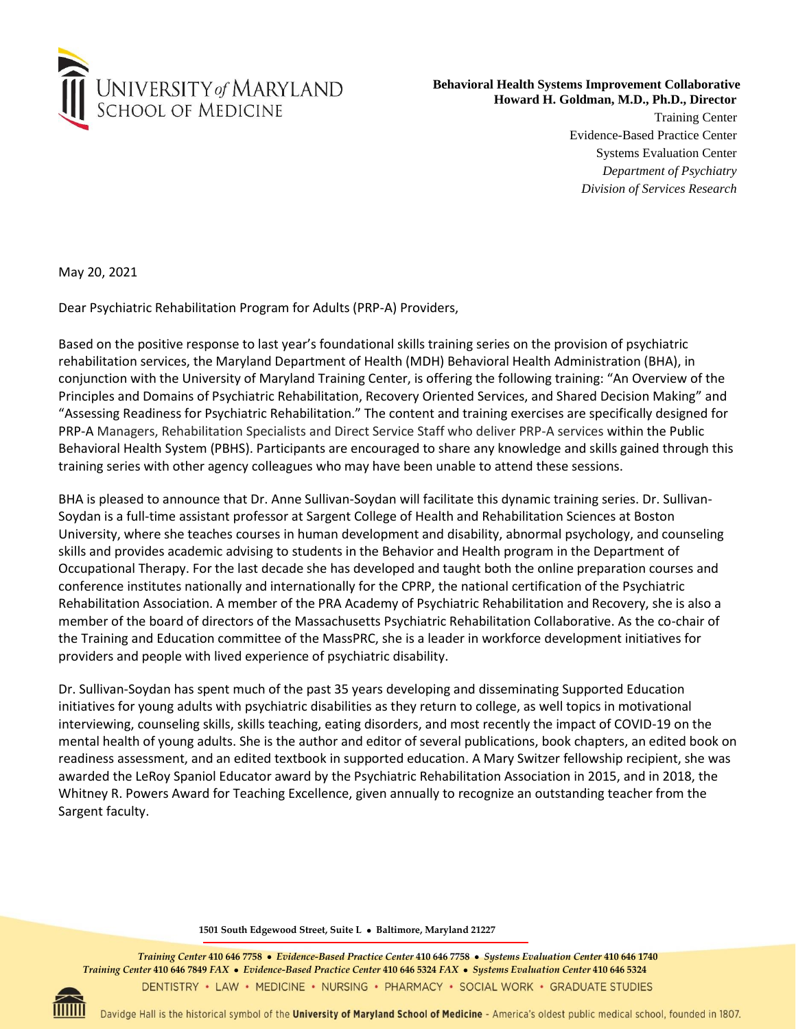

## **Behavioral Health Systems Improvement Collaborative Howard H. Goldman, M.D., Ph.D., Director**

Training Center Evidence-Based Practice Center Systems Evaluation Center *Department of Psychiatry Division of Services Research*

May 20, 2021

Dear Psychiatric Rehabilitation Program for Adults (PRP-A) Providers,

Based on the positive response to last year's foundational skills training series on the provision of psychiatric rehabilitation services, the Maryland Department of Health (MDH) Behavioral Health Administration (BHA), in conjunction with the University of Maryland Training Center, is offering the following training: "An Overview of the Principles and Domains of Psychiatric Rehabilitation, Recovery Oriented Services, and Shared Decision Making" and "Assessing Readiness for Psychiatric Rehabilitation." The content and training exercises are specifically designed for PRP-A Managers, Rehabilitation Specialists and Direct Service Staff who deliver PRP-A services within the Public Behavioral Health System (PBHS). Participants are encouraged to share any knowledge and skills gained through this training series with other agency colleagues who may have been unable to attend these sessions.

BHA is pleased to announce that Dr. Anne Sullivan-Soydan will facilitate this dynamic training series. Dr. Sullivan-Soydan is a full-time assistant professor at Sargent College of Health and Rehabilitation Sciences at Boston University, where she teaches courses in human development and disability, abnormal psychology, and counseling skills and provides academic advising to students in the Behavior and Health program in the Department of Occupational Therapy. For the last decade she has developed and taught both the online preparation courses and conference institutes nationally and internationally for the CPRP, the national certification of the Psychiatric Rehabilitation Association. A member of the PRA Academy of Psychiatric Rehabilitation and Recovery, she is also a member of the board of directors of the Massachusetts Psychiatric Rehabilitation Collaborative. As the co-chair of the Training and Education committee of the MassPRC, she is a leader in workforce development initiatives for providers and people with lived experience of psychiatric disability.

Dr. Sullivan-Soydan has spent much of the past 35 years developing and disseminating Supported Education initiatives for young adults with psychiatric disabilities as they return to college, as well topics in motivational interviewing, counseling skills, skills teaching, eating disorders, and most recently the impact of COVID-19 on the mental health of young adults. She is the author and editor of several publications, book chapters, an edited book on readiness assessment, and an edited textbook in supported education. A Mary Switzer fellowship recipient, she was awarded the LeRoy Spaniol Educator award by the Psychiatric Rehabilitation Association in 2015, and in 2018, the Whitney R. Powers Award for Teaching Excellence, given annually to recognize an outstanding teacher from the Sargent faculty.

**1501 South Edgewood Street, Suite L** • **Baltimore, Maryland 21227**

*Training Center* **410 646 7758** •*Evidence-Based Practice Center* **410 646 7758** •*Systems Evaluation Center* **410 646 1740**  *Training Center* **410 646 7849** *FAX*•*Evidence-Based Practice Center* **410 646 5324** *FAX*•*Systems Evaluation Center* **410 646 5324**DENTISTRY • LAW • MEDICINE • NURSING • PHARMACY • SOCIAL WORK • GRADUATE STUDIES



Davidge Hall is the historical symbol of the University of Maryland School of Medicine - America's oldest public medical school, founded in 1807.